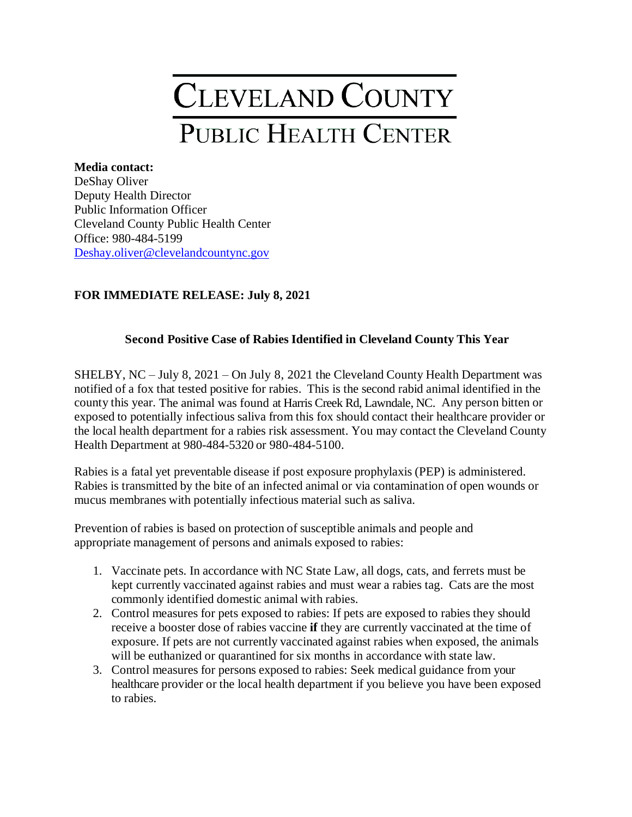# CLEVELAND COUNTY PUBLIC HEALTH CENTER

### **Media contact:**

DeShay Oliver Deputy Health Director Public Information Officer Cleveland County Public Health Center Office: 980-484-5199 [Deshay.oliver@clevelandcountync.](mailto:Deshay.oliver@clevelandcountync)gov

# **FOR IMMEDIATE RELEASE: July 8, 2021**

## **Second Positive Case of Rabies Identified in Cleveland County This Year**

SHELBY, NC – July 8, 2021 – On July 8, 2021 the Cleveland County Health Department was notified of a fox that tested positive for rabies. This is the second rabid animal identified in the county this year. The animal was found at Harris Creek Rd, Lawndale, NC. Any person bitten or exposed to potentially infectious saliva from this fox should contact their healthcare provider or the local health department for a rabies risk assessment. You may contact the Cleveland County Health Department at 980-484-5320 or 980-484-5100.

Rabies is a fatal yet preventable disease if post exposure prophylaxis (PEP) is administered. Rabies is transmitted by the bite of an infected animal or via contamination of open wounds or mucus membranes with potentially infectious material such as saliva.

Prevention of rabies is based on protection of susceptible animals and people and appropriate management of persons and animals exposed to rabies:

- 1. Vaccinate pets. In accordance with NC State Law, all dogs, cats, and ferrets must be kept currently vaccinated against rabies and must wear a rabies tag. Cats are the most commonly identified domestic animal with rabies.
- 2. Control measures for pets exposed to rabies: If pets are exposed to rabies they should receive a booster dose of rabies vaccine **if** they are currently vaccinated at the time of exposure. If pets are not currently vaccinated against rabies when exposed, the animals will be euthanized or quarantined for six months in accordance with state law.
- 3. Control measures for persons exposed to rabies: Seek medical guidance from your healthcare provider or the local health department if you believe you have been exposed to rabies.